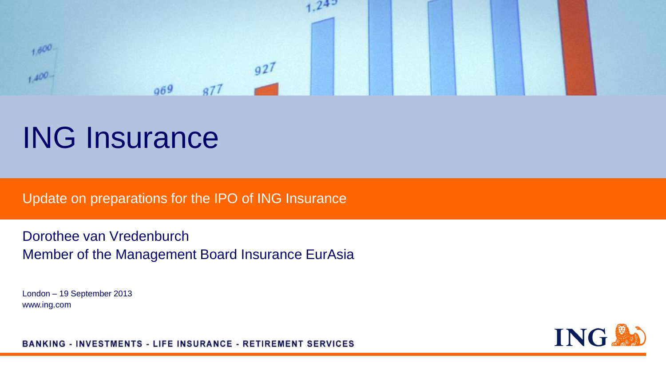

# ING Insurance

Update on preparations for the IPO of ING Insurance

Dorothee van Vredenburch Member of the Management Board Insurance EurAsia

London – 19 September 2013 www.ing.com



**BANKING - INVESTMENTS - LIFE INSURANCE - RETIREMENT SERVICES**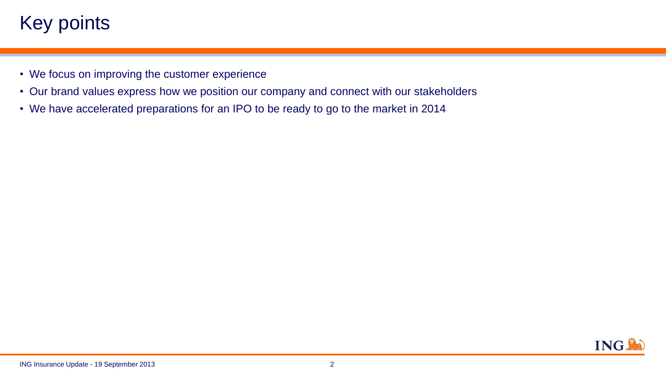# Key points.

- We focus on improving the customer experience
- Our brand values express how we position our company and connect with our stakeholders
- We have accelerated preparations for an IPO to be ready to go to the market in 2014

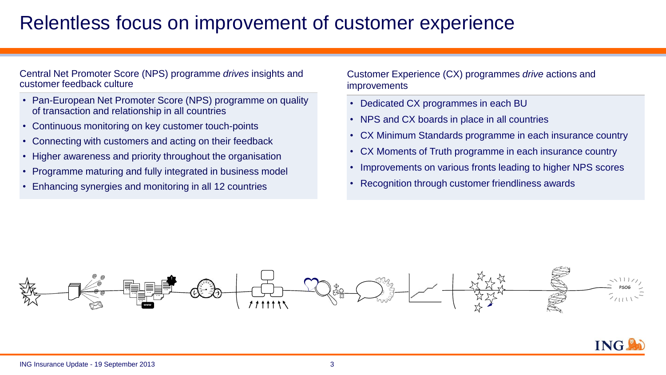### Relentless focus on improvement of customer experience

#### Central Net Promoter Score (NPS) programme *drives* insights and customer feedback culture

- Pan-European Net Promoter Score (NPS) programme on quality of transaction and relationship in all countries
- Continuous monitoring on key customer touch-points
- Connecting with customers and acting on their feedback
- Higher awareness and priority throughout the organisation
- Programme maturing and fully integrated in business model
- Enhancing synergies and monitoring in all 12 countries

Customer Experience (CX) programmes *drive* actions and improvements

- Dedicated CX programmes in each BU
- NPS and CX boards in place in all countries
- CX Minimum Standards programme in each insurance country
- CX Moments of Truth programme in each insurance country
- Improvements on various fronts leading to higher NPS scores
- Recognition through customer friendliness awards



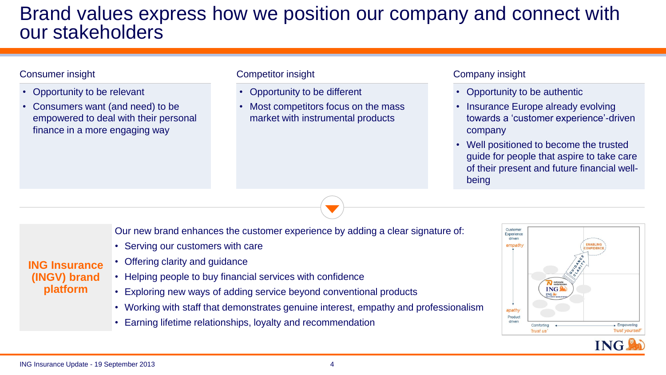### Brand values express how we position our company and connect with our stakeholders

#### Consumer insight

- Opportunity to be relevant
- Consumers want (and need) to be empowered to deal with their personal finance in a more engaging way

#### Competitor insight

- Opportunity to be different
- Most competitors focus on the mass market with instrumental products

#### Company insight

- Opportunity to be authentic
- Insurance Europe already evolving towards a 'customer experience'-driven company
- Well positioned to become the trusted guide for people that aspire to take care of their present and future financial wellbeing

Our new brand enhances the customer experience by adding a clear signature of:

- Serving our customers with care
- Offering clarity and guidance
- Helping people to buy financial services with confidence
- Exploring new ways of adding service beyond conventional products
- Working with staff that demonstrates genuine interest, empathy and professionalism
- Earning lifetime relationships, loyalty and recommendation





**ING Insurance (INGV) brand platform**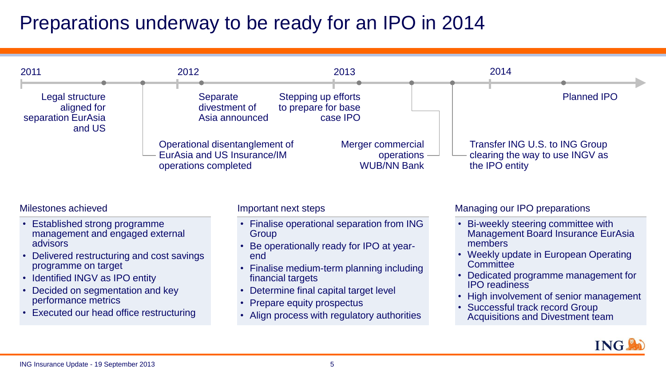## Preparations underway to be ready for an IPO in 2014



Milestones achieved

- **Established strong programme** management and engaged external advisors
- Delivered restructuring and cost savings programme on target
- Identified INGV as IPO entity
- Decided on segmentation and key performance metrics
- Executed our head office restructuring

Important next steps

- Finalise operational separation from ING **Group**
- Be operationally ready for IPO at yearend
- Finalise medium-term planning including financial targets
- Determine final capital target level
- Prepare equity prospectus
- Align process with regulatory authorities

#### Managing our IPO preparations

- Bi-weekly steering committee with Management Board Insurance EurAsia members
- Weekly update in European Operating **Committee**
- Dedicated programme management for IPO readiness
- High involvement of senior management
- Successful track record Group Acquisitions and Divestment team